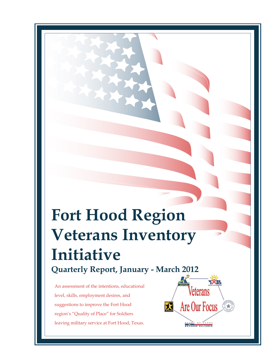# **Fort Hood Region Veterans Inventory Initiative Quarterly Report, January - March 2012**

An assessment of the intentions, educational level, skills, employment desires, and suggestions to improve the Fort Hood region's "Quality of Place" for Soldiers leaving military service at Fort Hood, Texas.

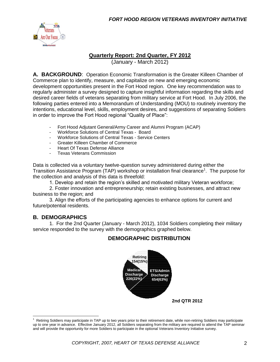

#### **Quarterly Report: 2nd Quarter, FY 2012**

(January - March 2012)

**A. BACKGROUND**: Operation Economic Transformation is the Greater Killeen Chamber of Commerce plan to identify, measure, and capitalize on new and emerging economic development opportunities present in the Fort Hood region. One key recommendation was to regularly administer a survey designed to capture insightful information regarding the skills and desired career fields of veterans separating from military service at Fort Hood. In July 2006, the following parties entered into a Memorandum of Understanding (MOU) to routinely inventory the intentions, educational level, skills, employment desires, and suggestions of separating Soldiers in order to improve the Fort Hood regional "Quality of Place":

- Fort Hood Adjutant General/Army Career and Alumni Program (ACAP)
- Workforce Solutions of Central Texas Board<br>- Workforce Solutions of Central Texas Service
- Workforce Solutions of Central Texas Service Centers
- Greater Killeen Chamber of Commerce
- Heart Of Texas Defense Alliance
- Texas Veterans Commission

Data is collected via a voluntary twelve-question survey administered during either the Transition Assistance Program (TAP) workshop or installation final clearance<sup>1</sup>. The purpose for the collection and analysis of this data is threefold:

1. Develop and retain the region's skilled and motivated military Veteran workforce;

2. Foster innovation and entrepreneurship; retain existing businesses, and attract new business to the region; and

3. Align the efforts of the participating agencies to enhance options for current and future/potential residents.

#### **B. DEMOGRAPHICS**

 $\overline{a}$ 

1. For the 2nd Quarter (January - March 2012), 1034 Soldiers completing their military service responded to the survey with the demographics graphed below.

#### **DEMOGRAPHIC DISTRIBUTION**



<sup>1</sup> Retiring Soldiers may participate in TAP up to two years prior to their retirement date, while non-retiring Soldiers may participate up to one year in advance. Effective January 2012, all Soldiers separating from the military are required to attend the TAP seminar and will provide the opportunity for more Soldiers to participate in the optional Veterans Inventory Initiative survey.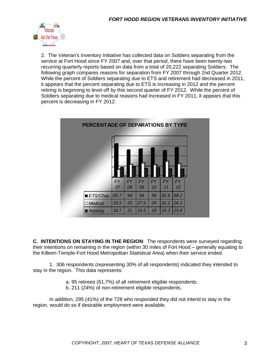

2. The Veteran's Inventory Initiative has collected data on Soldiers separating from the service at Fort Hood since FY 2007 and, over that period, there have been twenty-two recurring quarterly reports based on data from a total of 20,222 separating Soldiers. The following graph compares reasons for separation from FY 2007 through 2nd Quarter 2012. While the percent of Soldiers separating due to ETS and retirement had decreased in 2011, it appears that the percent separating due to ETS is increasing in 2012 and the percent retiring is beginning to level off by this second quarter of FY 2012. While the percent of Soldiers separating due to medical reasons had increased in FY 2011, it appears that this percent is decreasing in FY 2012.

| PERCENTAGE OF SEPARATIONS BY TYPE |                 |                 |                 |                 |                 |                 |  |
|-----------------------------------|-----------------|-----------------|-----------------|-----------------|-----------------|-----------------|--|
|                                   |                 |                 |                 |                 |                 |                 |  |
|                                   | <b>FY</b><br>07 | <b>FY</b><br>08 | <b>FY</b><br>09 | <b>FY</b><br>10 | <b>FY</b><br>11 | <b>FY</b><br>12 |  |
| <b>■ ETS/Chap</b>                 | 65.7            | 54              | 56              | 58              | 52.6            | 58.2            |  |
| □ Medical                         | 15.5            | 25              | 27.5            | 24              | 31.2            | 26.2            |  |
| Retiring                          | 18.7            | 21              | 16.5            | 18              | 16.3            | 15.6            |  |

**C. INTENTIONS ON STAYING IN THE REGION**: The respondents were surveyed regarding their intentions on remaining in the region (within 30 miles of Fort Hood – generally equating to the Killeen-Temple-Fort Hood Metropolitan Statistical Area) when their service ended.

1. 306 respondents (representing 30% of all respondents) indicated they intended to stay in the region. This data represents:

- a. 95 retirees (61.7%) of all retirement eligible respondents.
- b. 211 (24%) of non-retirement eligible respondents.

In addition, 295 (41%) of the 728 who responded they did not intend to stay in the region, would do so if desirable employment were available.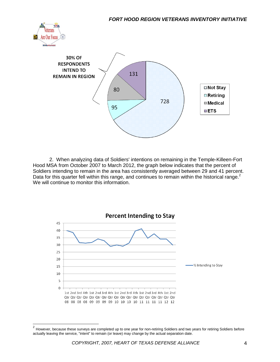



2. When analyzing data of Soldiers' intentions on remaining in the Temple-Killeen-Fort Hood MSA from October 2007 to March 2012, the graph below indicates that the percent of Soldiers intending to remain in the area has consistently averaged between 29 and 41 percent. Data for this quarter fell within this range, and continues to remain within the historical range. $2$ We will continue to monitor this information.



 2 However, because these surveys are completed up to one year for non-retiring Soldiers and two years for retiring Soldiers before actually leaving the service, "intent" to remain (or leave) may change by the actual separation date.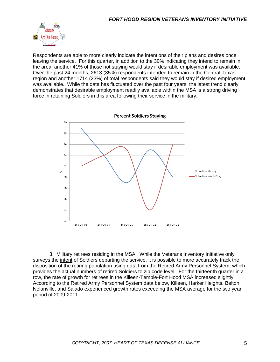

Respondents are able to more clearly indicate the intentions of their plans and desires once leaving the service. For this quarter, in addition to the 30% indicating they intend to remain in the area, another 41% of those not staying would stay if desirable employment was available. Over the past 24 months, 2613 (35%) respondents intended to remain in the Central Texas region and another 1714 (23%) of total respondents said they would stay if desired employment was available. While the data has fluctuated over the past four years, the latest trend clearly demonstrates that desirable employment readily available within the MSA is a strong driving force in retaining Soldiers in this area following their service in the military.



3. Military retirees residing in the MSA: While the Veterans Inventory Initiative only surveys the intent of Soldiers departing the service, it is possible to more accurately track the disposition of the retiring population using data from the Retired Army Personnel System, which provides the actual numbers of retired Soldiers to zip code level. For the thirteenth quarter in a row, the rate of growth for retirees in the Killeen-Temple-Fort Hood MSA increased slightly. According to the Retired Army Personnel System data below, Killeen, Harker Heights, Belton, Nolanville, and Salado experienced growth rates exceeding the MSA average for the two year period of 2009-2011.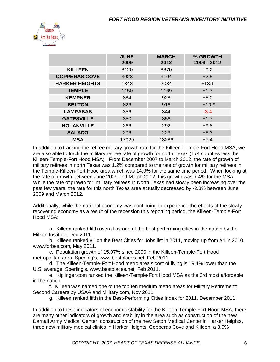

|                       | <b>JUNE</b><br>2009 | <b>MARCH</b><br>2012 | % GROWTH<br>2009 - 2012 |
|-----------------------|---------------------|----------------------|-------------------------|
| <b>KILLEEN</b>        | 8120                | 8870                 | $+9.2$                  |
| <b>COPPERAS COVE</b>  | 3028                | 3104                 | $+2.5$                  |
| <b>HARKER HEIGHTS</b> | 1843                | 2084                 | $+13.1$                 |
| <b>TEMPLE</b>         | 1150                | 1169                 | $+1.7$                  |
| <b>KEMPNER</b>        | 884                 | 928                  | $+5.0$                  |
| <b>BELTON</b>         | 826                 | 916                  | $+10.9$                 |
| <b>LAMPASAS</b>       | 356                 | 344                  | $-3.4$                  |
| <b>GATESVILLE</b>     | 350                 | 356                  | $+1.7$                  |
| <b>NOLANVILLE</b>     | 266                 | 292                  | $+9.8$                  |
| <b>SALADO</b>         | 206                 | 223                  | $+8.3$                  |
| <b>MSA</b>            | 17029               | 18286                | $+7.4$                  |

In addition to tracking the retiree military growth rate for the Killeen-Temple-Fort Hood MSA, we are also able to track the military retiree rate of growth for north Texas (174 counties less the Killeen-Temple-Fort Hood MSA). From December 2007 to March 2012, the rate of growth of military retirees in north Texas was 1.2% compared to the rate of growth for military retirees in the Temple-Killeen-Fort Hood area which was 14.9% for the same time period. When looking at the rate of growth between June 2009 and March 2012, this growth was 7.4% for the MSA. While the rate of growth for military retirees in North Texas had slowly been increasing over the past few years, the rate for this north Texas area actually decreased by -2.3% between June 2009 and March 2012.

Additionally, while the national economy was continuing to experience the effects of the slowly recovering economy as a result of the recession this reporting period, the Killeen-Temple-Fort Hood MSA:

a. Killeen ranked fifth overall as one of the best performing cities in the nation by the Milken Institute, Dec 2011.

b. Killeen ranked #1 on the Best Cities for Jobs list in 2011, moving up from #4 in 2010, www.forbes.com, May 2011.

c. Population growth of 15.07% since 2000 in the Killeen-Temple-Fort Hood metropolitan area, Sperling's, www.bestplaces.net, Feb 2011.

d. The Killeen-Temple-Fort Hood metro area's cost of living is 19.4% lower than the U.S. average, Sperling's, www.bestplaces.net, Feb 2011.

e. Kiplinger.com ranked the Killeen-Temple-Fort Hood MSA as the 3rd most affordable in the nation.

f. Killeen was named one of the top ten medium metro areas for Military Retirement: Second Careers by USAA and Military.com, Nov 2011.

g. Killeen ranked fifth in the Best-Performing Cities Index for 2011, December 2011.

In addition to these indicators of economic stability for the Killeen-Temple-Fort Hood MSA, there are many other indicators of growth and stability in the area such as construction of the new Darnall Army Medical Center, construction of the new Seton Medical Center in Harker Heights, three new military medical clinics in Harker Heights, Copperas Cove and Killeen, a 3.9%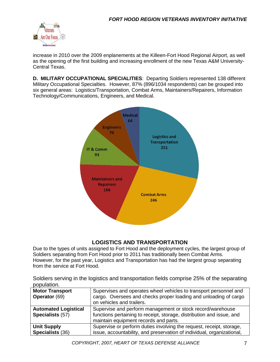

increase in 2010 over the 2009 enplanements at the Killeen-Fort Hood Regional Airport, as well as the opening of the first building and increasing enrollment of the new Texas A&M University-Central Texas.

**D. MILITARY OCCUPATIONAL SPECIALITIES**: Departing Soldiers represented 138 different Military Occupational Specialties. However, 87% (896/1034 respondents) can be grouped into six general areas: Logistics/Transportation, Combat Arms, Maintainers/Repairers, Information Technology/Communications, Engineers, and Medical.



#### **LOGISTICS AND TRANSPORTATION**

Due to the types of units assigned to Fort Hood and the deployment cycles, the largest group of Soldiers separating from Fort Hood prior to 2011 has traditionally been Combat Arms. However, for the past year, Logistics and Transportation has had the largest group separating from the service at Fort Hood.

Soldiers serving in the logistics and transportation fields comprise 25% of the separating population.

| <b>Motor Transport</b>      | Supervises and operates wheel vehicles to transport personnel and      |
|-----------------------------|------------------------------------------------------------------------|
| Operator (69)               | cargo. Oversees and checks proper loading and unloading of cargo       |
|                             | on vehicles and trailers.                                              |
| <b>Automated Logistical</b> | Supervise and perform management or stock record/warehouse             |
| Specialists (57)            | functions pertaining to receipt, storage, distribution and issue, and  |
|                             | maintain equipment records and parts.                                  |
| <b>Unit Supply</b>          | Supervise or perform duties involving the request, receipt, storage,   |
| Specialists (36)            | issue, accountability, and preservation of individual, organizational, |
|                             |                                                                        |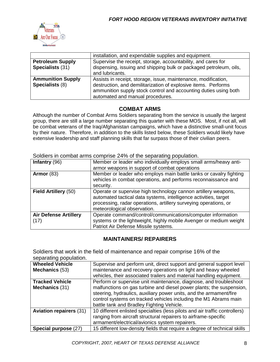

|                                             | installation, and expendable supplies and equipment.                                                                                |  |  |
|---------------------------------------------|-------------------------------------------------------------------------------------------------------------------------------------|--|--|
| <b>Petroleum Supply</b><br>Specialists (31) | Supervise the receipt, storage, accountability, and cares for<br>dispensing, issuing and shipping bulk or packaged petroleum, oils, |  |  |
|                                             | and lubricants.                                                                                                                     |  |  |
| <b>Ammunition Supply</b>                    | Assists in receipt, storage, issue, maintenance, modification,                                                                      |  |  |
| Specialists (8)                             | destruction, and demilitarization of explosive items. Performs<br>ammunition supply stock control and accounting duties using both  |  |  |
|                                             | automated and manual procedures.                                                                                                    |  |  |

#### **COMBAT ARMS**

Although the number of Combat Arms Soldiers separating from the service is usually the largest group, there are still a large number separating this quarter with these MOS. Most, if not all, will be combat veterans of the Iraq/Afghanistan campaigns, which have a distinctive small-unit focus by their nature. Therefore, in addition to the skills listed below, these Soldiers would likely have extensive leadership and staff planning skills that far surpass those of their civilian peers.

| Infantry (96)                        | Member or leader who individually employs small arms/heavy anti-                                                                                                                                                                      |  |  |
|--------------------------------------|---------------------------------------------------------------------------------------------------------------------------------------------------------------------------------------------------------------------------------------|--|--|
|                                      | armor weapons in support of combat operations                                                                                                                                                                                         |  |  |
| Armor $(83)$                         | Member or leader who employs main battle tanks or cavalry fighting<br>vehicles in combat operations, and performs reconnaissance and<br>security.                                                                                     |  |  |
| Field Artillery (50)                 | Operate or supervise high technology cannon artillery weapons,<br>automated tactical data systems, intelligence activities, target<br>processing, radar operations, artillery surveying operations, or<br>meteorological observation. |  |  |
| <b>Air Defense Artillery</b><br>(17) | Operate command/control/communications/computer information<br>systems or the lightweight, highly mobile Avenger or medium weight<br>Patriot Air Defense Missile systems.                                                             |  |  |

Soldiers in combat arms comprise 24% of the separating population.

#### **MAINTAINERS/ REPAIRERS**

Soldiers that work in the field of maintenance and repair comprise 16% of the separating population.

| <b>Wheeled Vehicle</b><br>Mechanics (53) | Supervise and perform unit, direct support and general support level<br>maintenance and recovery operations on light and heavy wheeled<br>vehicles, their associated trailers and material handling equipment.                                                                                                                   |
|------------------------------------------|----------------------------------------------------------------------------------------------------------------------------------------------------------------------------------------------------------------------------------------------------------------------------------------------------------------------------------|
| <b>Tracked Vehicle</b><br>Mechanics (31) | Perform or supervise unit maintenance, diagnose, and troubleshoot<br>malfunctions on gas turbine and diesel power plants; the suspension,<br>steering, hydraulics, auxiliary power units, and the armament/fire<br>control systems on tracked vehicles including the M1 Abrams main<br>battle tank and Bradley Fighting Vehicle. |
| <b>Aviation repairers (31)</b>           | 10 different enlisted specialties (less pilots and air traffic controllers)<br>ranging from aircraft structural repairers to airframe-specific<br>armament/electrical/avionics system repairers.                                                                                                                                 |
| Special purpose (27)                     | 15 different low-density fields that require a degree of technical skills                                                                                                                                                                                                                                                        |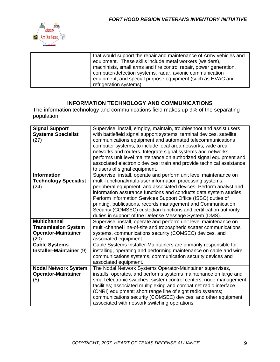

| that would support the repair and maintenance of Army vehicles and |
|--------------------------------------------------------------------|
| equipment. These skills include metal workers (welders),           |
| machinists, small arms and fire control repair, power generation,  |
| computer/detection systems, radar, avionic communication           |
| equipment, and special purpose equipment (such as HVAC and         |
| refrigeration systems).                                            |

#### **INFORMATION TECHNOLOGY AND COMMUNICATIONS**

The information technology and communications field makes up 9% of the separating population.

| <b>Signal Support</b><br><b>Systems Specialist</b><br>(27)                              | Supervise, install, employ, maintain, troubleshoot and assist users<br>with battlefield signal support systems, terminal devices, satellite<br>communications equipment and automated telecommunications<br>computer systems, to include local area networks, wide area<br>networks and routers. Integrate signal systems and networks;<br>performs unit level maintenance on authorized signal equipment and<br>associated electronic devices; train and provide technical assistance<br>to users of signal equipment.                   |
|-----------------------------------------------------------------------------------------|-------------------------------------------------------------------------------------------------------------------------------------------------------------------------------------------------------------------------------------------------------------------------------------------------------------------------------------------------------------------------------------------------------------------------------------------------------------------------------------------------------------------------------------------|
| <b>Information</b><br><b>Technology Specialist</b><br>(24)                              | Supervise, install, operate and perform unit level maintenance on<br>multi-functional/multi-user information processing systems,<br>peripheral equipment, and associated devices. Perform analyst and<br>information assurance functions and conducts data system studies.<br>Perform Information Services Support Office (ISSO) duties of<br>printing, publications, records management and Communication<br>Security (COMSEC) custodian functions and certification authority<br>duties in support of the Defense Message System (DMS). |
| <b>Multichannel</b><br><b>Transmission System</b><br><b>Operator-Maintainer</b><br>(20) | Supervise, install, operate and perform unit level maintenance on<br>multi-channel line-of-site and tropospheric scatter communications<br>systems, communications security (COMSEC) devices, and<br>associated equipment.                                                                                                                                                                                                                                                                                                                |
| <b>Cable Systems</b><br>Installer-Maintainer (9)                                        | Cable Systems Installer-Maintainers are primarily responsible for<br>installing, operating and performing maintenance on cable and wire<br>communications systems, communication security devices and<br>associated equipment.                                                                                                                                                                                                                                                                                                            |
| <b>Nodal Network System</b><br><b>Operator-Maintainer</b><br>(5)                        | The Nodal Network Systems Operator-Maintainer supervises,<br>installs, operates, and performs systems maintenance on large and<br>small electronic switches; system control centers; node management<br>facilities; associated multiplexing and combat net radio interface<br>(CNRI) equipment; short range line of sight radio systems;<br>communications security (COMSEC) devices; and other equipment<br>associated with network switching operations.                                                                                |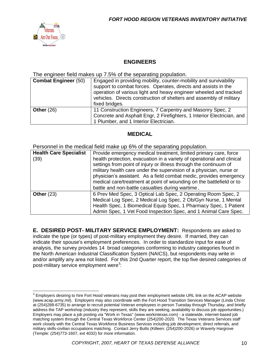

#### **ENGINEERS**

The engineer field makes up 7.5% of the separating population.

| <b>Combat Engineer (50)</b> | Engaged in providing mobility, counter-mobility and survivability<br>support to combat forces. Operates, directs and assists in the<br>operation of various light and heavy engineer wheeled and tracked<br>vehicles. Directs construction of shelters and assembly of military<br>fixed bridges. |
|-----------------------------|---------------------------------------------------------------------------------------------------------------------------------------------------------------------------------------------------------------------------------------------------------------------------------------------------|
| Other $(26)$                | 11 Construction Engineers, 7 Carpentry and Masonry Spec, 2<br>Concrete and Asphalt Engr, 2 Firefighters, 1 Interior Electrician, and<br>1 Plumber, and 1 Interior Electrician.                                                                                                                    |

#### **MEDICAL**

Personnel in the medical field make up 6% of the separating population.

| <b>Health Care Specialist</b><br>(39) | Provide emergency medical treatment, limited primary care, force<br>health protection, evacuation in a variety of operational and clinical<br>settings from point of injury or illness through the continuum of<br>military health care under the supervision of a physician, nurse or<br>physician's assistant. As a field combat medic, provides emergency<br>medical care/treatment at point of wounding on the battlefield or to<br>battle and non-battle casualties during wartime. |  |
|---------------------------------------|------------------------------------------------------------------------------------------------------------------------------------------------------------------------------------------------------------------------------------------------------------------------------------------------------------------------------------------------------------------------------------------------------------------------------------------------------------------------------------------|--|
| Other $(23)$                          | 6 Prev Med Spec, 3 Optical Lab Spec, 2 Operating Room Spec, 2<br>Medical Log Spec, 2 Medical Log Spec, 2 Ob/Gyn Nurse, 1 Mental<br>Health Spec, 1 Biomedical Equip Spec, 1 Pharmacy Spec, 1 Patient<br>Admin Spec, 1 Vet Food Inspection Spec, and 1 Animal Care Spec.                                                                                                                                                                                                                   |  |

**E. DESIRED POST- MILITARY SERVICE EMPLOYMENT:** Respondents are asked to indicate the type (or types) of post-military employment they desire. If married, they can indicate their spouse's employment preferences. In order to standardize input for ease of analysis, the survey provides 14 broad categories conforming to industry categories found in the North American Industrial Classification System (NAICS), but respondents may write in and/or amplify any area not listed. For this 2nd Quarter report, the top five desired categories of post-military service employment were<sup>3</sup>:

 3 Employers desiring to hire Fort Hood veterans may post their employment website URL link on the ACAP website (www.acap.army.mil). Employers may also coordinate with the Fort Hood Transition Services Manager (Linda Christ at (254)288-6735) to arrange to recruit potential Veteran employees in person Tuesday through Thursday, and briefly address the TAP workshop (industry they represent, skills they are seeking, availability to discuss job opportunities.) Employers may place a job posting via "Work in Texas" (www.workintexas.com) - a statewide, internet-based job matching system through the Central Texas Workforce Center (254)200-2020. The Texas Veterans Services staff work closely with the Central Texas Workforce Business Services including job development, direct referrals, and military skills-civilian occupations matching. Contact Jerry Butts (Killeen: (254)200-2026) or Waverly Hargrove (Temple: (254)773-1607, ext 4032) for more information.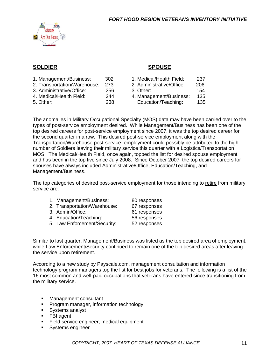

#### **SOLDIER SPOUSE**

| 1. Management/Business:      | 302 | 1. Medical/Health Field:  | 237 |  |
|------------------------------|-----|---------------------------|-----|--|
| 2. Transportation/Warehouse: | 273 | 2. Administrative/Office: | 206 |  |
| 3. Administrative/Office:    | 256 | 3. Other:                 | 154 |  |
| 4. Medical/Health Field:     | 244 | 4. Management/Business:   | 135 |  |
| 5. Other:                    | 238 | Education/Teaching:       | 135 |  |
|                              |     |                           |     |  |

The anomalies in Military Occupational Specialty (MOS) data may have been carried over to the types of post-service employment desired. While Management/Business has been one of the top desired careers for post-service employment since 2007, it was the top desired career for the second quarter in a row. This desired post-service employment along with the Transportation/Warehouse post-service employment could possibly be attributed to the high number of Soldiers leaving their military service this quarter with a Logistics/Transportation MOS. The Medical/Health Field, once again, topped the list for desired spouse employment and has been in the top five since July 2008. Since October 2007, the top desired careers for spouses have always included Administrative/Office, Education/Teaching, and Management/Business.

The top categories of desired post-service employment for those intending to retire from military service are:

| 1. Management/Business:      | 80 responses |
|------------------------------|--------------|
| 2. Transportation/Warehouse: | 67 responses |
| 3. Admin/Office:             | 61 responses |
| 4. Education/Teaching:       | 56 responses |
| 5. Law Enforcement/Security: | 52 responses |
|                              |              |

Similar to last quarter, Management/Business was listed as the top desired area of employment, while Law Enforcement/Security continued to remain one of the top desired areas after leaving the service upon retirement.

According to a new study by Payscale.com, management consultation and information technology program managers top the list for best jobs for veterans. The following is a list of the 16 most common and well-paid occupations that veterans have entered since transitioning from the military service.

- **Management consultant**
- **Program manager, information technology**
- **Systems analyst**
- **FBI** agent
- Field service engineer, medical equipment
- **Systems engineer**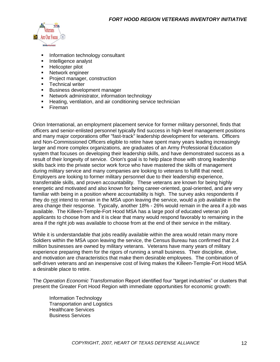

- Information technology consultant
- Intelligence analyst
- **Helicopter pilot**
- Network engineer
- **Project manager, construction**
- **Technical writer**
- **Business development manager**
- **Network administrator, information technology**
- **Heating, ventilation, and air conditioning service technician**
- **Fireman**

Orion International, an employment placement service for former military personnel, finds that officers and senior-enlisted personnel typically find success in high-level management positions and many major corporations offer "fast-track" leadership development for veterans. Officers and Non-Commissioned Officers eligible to retire have spent many years leading increasingly larger and more complex organizations, are graduates of an Army Professional Education system that focuses on developing their leadership skills, and have demonstrated success as a result of their longevity of service. Orion's goal is to help place those with strong leadership skills back into the private sector work force who have mastered the skills of management during military service and many companies are looking to veterans to fulfill that need. Employers are looking to former military personnel due to their leadership experience, transferrable skills, and proven accountability. These veterans are known for being highly energetic and motivated and also known for being career-oriented, goal-oriented, and are very familiar with being in a position where accountability is high. The survey asks respondents if they do not intend to remain in the MSA upon leaving the service, would a job available in the area change their response. Typically, another 18% - 26% would remain in the area if a job was available. The Killeen-Temple-Fort Hood MSA has a large pool of educated veteran job applicants to choose from and it is clear that many would respond favorably to remaining in the area if the right job was available to choose from at the end of their service in the military.

While it is understandable that jobs readily available within the area would retain many more Soldiers within the MSA upon leaving the service, the Census Bureau has confirmed that 2.4 million businesses are owned by military veterans. Veterans have many years of military experience preparing them for the rigors of running a small business. Their discipline, drive, and motivation are characteristics that make them desirable employees. The combination of self-driven veterans and an inexpensive cost of living makes the Killeen-Temple-Fort Hood MSA a desirable place to retire.

The *Operation Economic Transformation* Report identified four "target industries" or clusters that present the Greater Fort Hood Region with immediate opportunities for economic growth:

Information Technology Transportation and Logistics Healthcare Services Business Services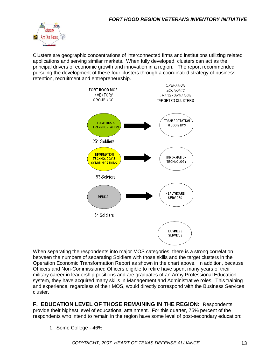

Clusters are geographic concentrations of interconnected firms and institutions utilizing related applications and serving similar markets. When fully developed, clusters can act as the principal drivers of economic growth and innovation in a region. The report recommended pursuing the development of these four clusters through a coordinated strategy of business retention, recruitment and entrepreneurship.



When separating the respondents into major MOS categories, there is a strong correlation between the numbers of separating Soldiers with those skills and the target clusters in the Operation Economic Transformation Report as shown in the chart above. In addition, because Officers and Non-Commissioned Officers eligible to retire have spent many years of their military career in leadership positions and are graduates of an Army Professional Education system, they have acquired many skills in Management and Administrative roles. This training and experience, regardless of their MOS, would directly correspond with the Business Services cluster.

**F. EDUCATION LEVEL OF THOSE REMAINING IN THE REGION:** Respondents provide their highest level of educational attainment. For this quarter, 75% percent of the respondents who intend to remain in the region have some level of post-secondary education:

1. Some College - 46%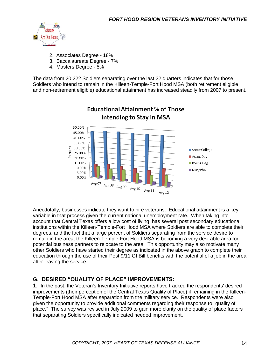

- 2. Associates Degree 18%
- 3. Baccalaureate Degree 7%
- 4. Masters Degree 5%

The data from 20,222 Soldiers separating over the last 22 quarters indicates that for those Soldiers who intend to remain in the Killeen-Temple-Fort Hood MSA (both retirement eligible and non-retirement eligible) educational attainment has increased steadily from 2007 to present.



### **Educational Attainment % of Those Intending to Stay in MSA**

Anecdotally, businesses indicate they want to hire veterans. Educational attainment is a key variable in that process given the current national unemployment rate. When taking into account that Central Texas offers a low cost of living, has several post secondary educational institutions within the Killeen-Temple-Fort Hood MSA where Soldiers are able to complete their degrees, and the fact that a large percent of Soldiers separating from the service desire to remain in the area, the Killeen-Temple-Fort Hood MSA is becoming a very desirable area for potential business partners to relocate to the area. This opportunity may also motivate many other Soldiers who have started their degree as indicated in the above graph to complete their education through the use of their Post 9/11 GI Bill benefits with the potential of a job in the area after leaving the service.

#### **G. DESIRED "QUALITY OF PLACE" IMPROVEMENTS:**

1. In the past, the Veteran's Inventory Initiative reports have tracked the respondents' desired improvements (their perception of the Central Texas Quality of Place) if remaining in the Killeen-Temple-Fort Hood MSA after separation from the military service. Respondents were also given the opportunity to provide additional comments regarding their response to "quality of place." The survey was revised in July 2009 to gain more clarity on the quality of place factors that separating Soldiers specifically indicated needed improvement.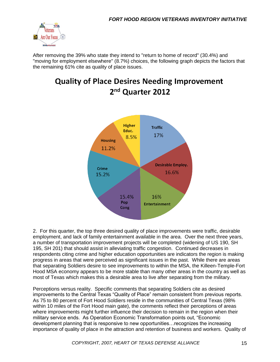

After removing the 39% who state they intend to "return to home of record" (30.4%) and "moving for employment elsewhere" (8.7%) choices, the following graph depicts the factors that the remaining 61% cite as quality of place issues.

## **Quality of Place Desires Needing Improvement** 2<sup>nd</sup> Quarter 2012



2. For this quarter, the top three desired quality of place improvements were traffic, desirable employment, and lack of family entertainment available in the area. Over the next three years, a number of transportation improvement projects will be completed (widening of US 190, SH 195, SH 201) that should assist in alleviating traffic congestion. Continued decreases in respondents citing crime and higher education opportunities are indicators the region is making progress in areas that were perceived as significant issues in the past. While there are areas that separating Soldiers desire to see improvements to within the MSA, the Killeen-Temple-Fort Hood MSA economy appears to be more stable than many other areas in the country as well as most of Texas which makes this a desirable area to live after separating from the military.

Perceptions versus reality. Specific comments that separating Soldiers cite as desired improvements to the Central Texas "Quality of Place" remain consistent from previous reports. As 75 to 80 percent of Fort Hood Soldiers reside in the communities of Central Texas (98% within 10 miles of the Fort Hood main gate), the comments reflect their perceptions of areas where improvements might further influence their decision to remain in the region when their military service ends. As Operation Economic Transformation points out, "Economic development planning that is responsive to new opportunities…recognizes the increasing importance of quality of place in the attraction and retention of business and workers. Quality of